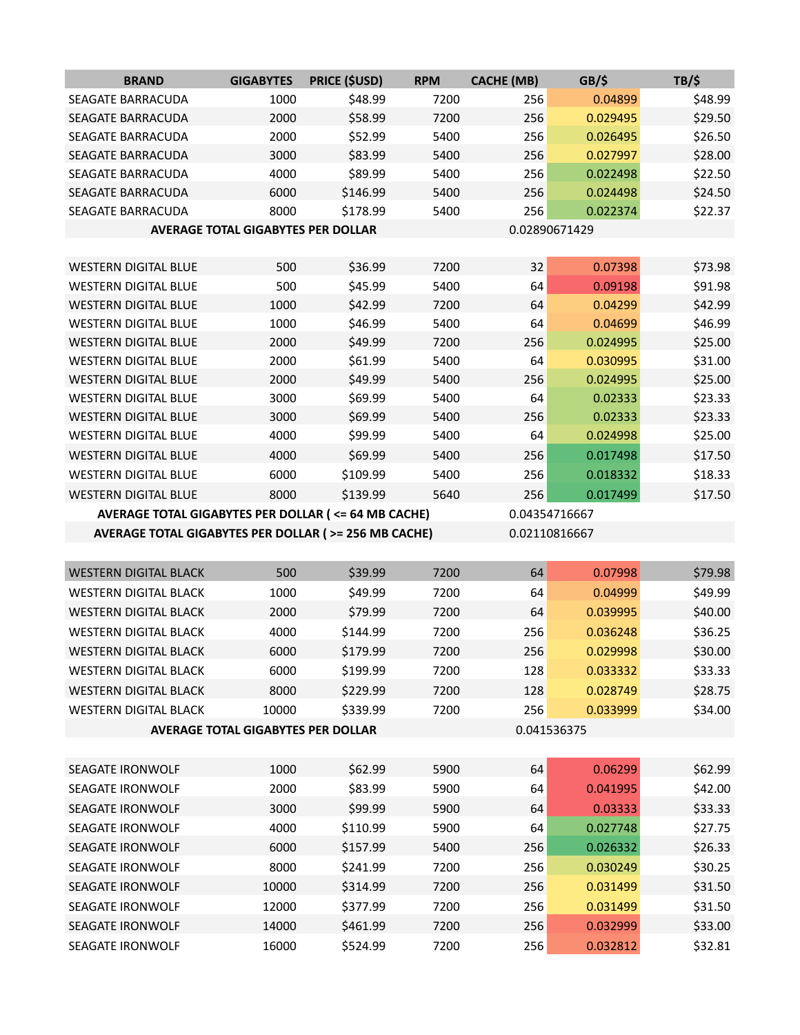| SEAGATE BARRACUDA                                     | 2000                                      | \$52.99              | 5400         | 256         | 0.026495             | \$26.50            |  |  |
|-------------------------------------------------------|-------------------------------------------|----------------------|--------------|-------------|----------------------|--------------------|--|--|
| <b>SEAGATE BARRACUDA</b>                              | 3000                                      | \$83.99              | 5400         | 256         | 0.027997             | \$28.00            |  |  |
| <b>SEAGATE BARRACUDA</b>                              | 4000                                      | \$89.99              | 5400         | 256         | 0.022498             | \$22.50            |  |  |
| SEAGATE BARRACUDA                                     | 6000                                      | \$146.99             | 5400         | 256         | 0.024498             | \$24.50            |  |  |
| SEAGATE BARRACUDA                                     | 8000                                      | \$178.99             | 5400         | 256         | 0.022374             | \$22.37            |  |  |
| <b>AVERAGE TOTAL GIGABYTES PER DOLLAR</b>             |                                           |                      |              |             | 0.02890671429        |                    |  |  |
|                                                       |                                           |                      |              |             |                      |                    |  |  |
| <b>WESTERN DIGITAL BLUE</b>                           | 500                                       | \$36.99              | 7200         | 32          | 0.07398              | \$73.98            |  |  |
| <b>WESTERN DIGITAL BLUE</b>                           | 500                                       | \$45.99              | 5400         | 64          | 0.09198              | \$91.98            |  |  |
| <b>WESTERN DIGITAL BLUE</b>                           | 1000                                      | \$42.99              | 7200         | 64          | 0.04299              | \$42.99            |  |  |
| <b>WESTERN DIGITAL BLUE</b>                           | 1000                                      | \$46.99              | 5400         | 64          | 0.04699              | \$46.99            |  |  |
| <b>WESTERN DIGITAL BLUE</b>                           | 2000                                      | \$49.99              | 7200         | 256         | 0.024995             | \$25.00            |  |  |
| <b>WESTERN DIGITAL BLUE</b>                           | 2000                                      | \$61.99              | 5400         | 64          | 0.030995             | \$31.00            |  |  |
| <b>WESTERN DIGITAL BLUE</b>                           | 2000                                      | \$49.99              | 5400         | 256         | 0.024995             | \$25.00            |  |  |
| <b>WESTERN DIGITAL BLUE</b>                           | 3000                                      | \$69.99              | 5400         | 64          | 0.02333              | \$23.33            |  |  |
| <b>WESTERN DIGITAL BLUE</b>                           | 3000                                      | \$69.99              | 5400         | 256         | 0.02333              | \$23.33            |  |  |
| <b>WESTERN DIGITAL BLUE</b>                           | 4000                                      | \$99.99              | 5400         | 64          | 0.024998             | \$25.00            |  |  |
| <b>WESTERN DIGITAL BLUE</b>                           | 4000                                      | \$69.99              | 5400         | 256         | 0.017498             | \$17.50            |  |  |
| <b>WESTERN DIGITAL BLUE</b>                           | 6000                                      | \$109.99             | 5400         | 256         | 0.018332             | \$18.33            |  |  |
| <b>WESTERN DIGITAL BLUE</b>                           | 8000                                      | \$139.99             | 5640         | 256         | 0.017499             | \$17.50            |  |  |
| AVERAGE TOTAL GIGABYTES PER DOLLAR ( <= 64 MB CACHE)  |                                           |                      |              |             | 0.04354716667        |                    |  |  |
| AVERAGE TOTAL GIGABYTES PER DOLLAR ( >= 256 MB CACHE) |                                           |                      |              |             | 0.02110816667        |                    |  |  |
|                                                       |                                           |                      |              |             |                      |                    |  |  |
|                                                       |                                           |                      |              |             |                      |                    |  |  |
| <b>WESTERN DIGITAL BLACK</b>                          | 500                                       | \$39.99              | 7200         | 64          | 0.07998              | \$79.98            |  |  |
| <b>WESTERN DIGITAL BLACK</b>                          | 1000                                      | \$49.99              | 7200         | 64          | 0.04999              | \$49.99            |  |  |
| <b>WESTERN DIGITAL BLACK</b>                          | 2000                                      | \$79.99              | 7200         | 64          | 0.039995             | \$40.00            |  |  |
| <b>WESTERN DIGITAL BLACK</b>                          | 4000                                      | \$144.99             | 7200         | 256         | 0.036248             | \$36.25            |  |  |
| <b>WESTERN DIGITAL BLACK</b>                          | 6000                                      | \$179.99             | 7200         | 256         | 0.029998             | \$30.00            |  |  |
| <b>WESTERN DIGITAL BLACK</b>                          | 6000                                      | \$199.99             | 7200         | 128         | 0.033332             | \$33.33            |  |  |
| <b>WESTERN DIGITAL BLACK</b>                          | 8000                                      | \$229.99             | 7200         | 128         | 0.028749             | \$28.75            |  |  |
| <b>WESTERN DIGITAL BLACK</b>                          | 10000                                     | \$339.99             | 7200         | 256         | 0.033999             | \$34.00            |  |  |
|                                                       | <b>AVERAGE TOTAL GIGABYTES PER DOLLAR</b> |                      |              | 0.041536375 |                      |                    |  |  |
|                                                       |                                           |                      |              |             |                      |                    |  |  |
| SEAGATE IRONWOLF                                      | 1000                                      |                      | 5900         |             | 0.06299              |                    |  |  |
| SEAGATE IRONWOLF                                      | 2000                                      | \$62.99              |              | 64          | 0.041995             | \$62.99            |  |  |
| <b>SEAGATE IRONWOLF</b>                               |                                           | \$83.99              | 5900         | 64          |                      | \$42.00            |  |  |
|                                                       | 3000                                      | \$99.99              | 5900         | 64          | 0.03333              | \$33.33            |  |  |
| SEAGATE IRONWOLF                                      | 4000                                      | \$110.99             | 5900         | 64          | 0.027748             | \$27.75            |  |  |
| SEAGATE IRONWOLF                                      | 6000                                      | \$157.99             | 5400         | 256         | 0.026332             | \$26.33            |  |  |
| <b>SEAGATE IRONWOLF</b>                               | 8000                                      | \$241.99             | 7200         | 256         | 0.030249             | \$30.25            |  |  |
| SEAGATE IRONWOLF                                      | 10000                                     | \$314.99             | 7200         | 256         | 0.031499             | \$31.50            |  |  |
| SEAGATE IRONWOLF                                      | 12000                                     | \$377.99             | 7200         | 256         | 0.031499             | \$31.50            |  |  |
| SEAGATE IRONWOLF<br>SEAGATE IRONWOLF                  | 14000<br>16000                            | \$461.99<br>\$524.99 | 7200<br>7200 | 256<br>256  | 0.032999<br>0.032812 | \$33.00<br>\$32.81 |  |  |

**BRAND GIGABYTES PRICE (\$USD) RPM CACHE (MB) GB/\$ TB/\$** SEAGATE BARRACUDA 1000 \$48.99 7200 256 0.04899 \$48.99 SEAGATE BARRACUDA 2000 \$58.99 7200 256 0.029495 \$29.50